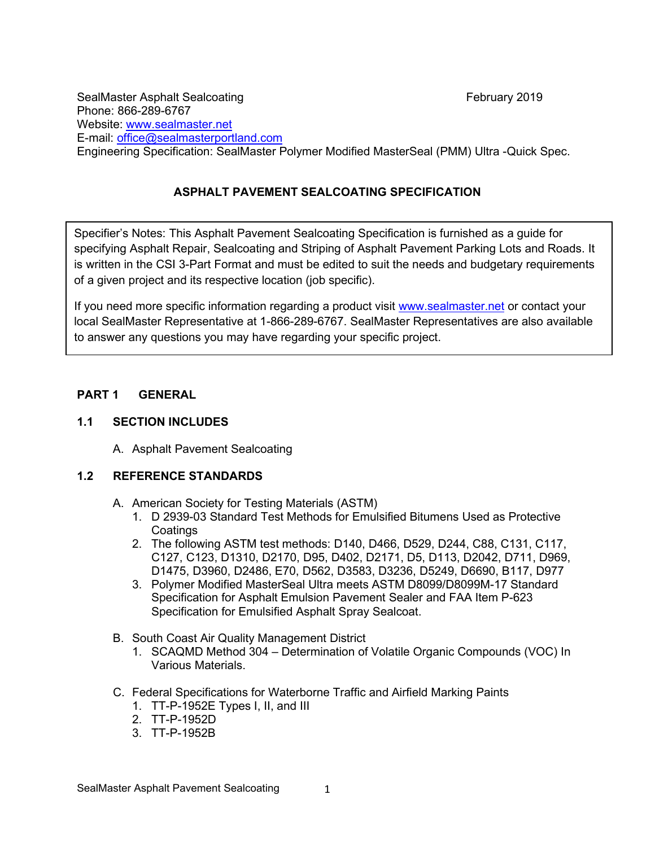SealMaster Asphalt Sealcoating February 2019 Phone: 866-289-6767 Website: [www.sealmaster.net](http://www.sealmaster.net/) E-mail: [office@sealmasterportland.com](mailto:office@sealmasterportland.com) Engineering Specification: SealMaster Polymer Modified MasterSeal (PMM) Ultra -Quick Spec.

## **ASPHALT PAVEMENT SEALCOATING SPECIFICATION**

Specifier's Notes: This Asphalt Pavement Sealcoating Specification is furnished as a guide for specifying Asphalt Repair, Sealcoating and Striping of Asphalt Pavement Parking Lots and Roads. It is written in the CSI 3-Part Format and must be edited to suit the needs and budgetary requirements of a given project and its respective location (job specific).

If you need more specific information regarding a product visit [www.sealmaster.net](http://www.sealmaster.net/) or contact your local SealMaster Representative at 1-866-289-6767. SealMaster Representatives are also available to answer any questions you may have regarding your specific project.

## **PART 1 GENERAL**

### **1.1 SECTION INCLUDES**

A. Asphalt Pavement Sealcoating

## **1.2 REFERENCE STANDARDS**

- A. American Society for Testing Materials (ASTM)
	- 1. D 2939-03 Standard Test Methods for Emulsified Bitumens Used as Protective **Coatings**
	- 2. The following ASTM test methods: D140, D466, D529, D244, C88, C131, C117, C127, C123, D1310, D2170, D95, D402, D2171, D5, D113, D2042, D711, D969, D1475, D3960, D2486, E70, D562, D3583, D3236, D5249, D6690, B117, D977
	- 3. Polymer Modified MasterSeal Ultra meets ASTM D8099/D8099M-17 Standard Specification for Asphalt Emulsion Pavement Sealer and FAA Item P-623 Specification for Emulsified Asphalt Spray Sealcoat.
- B. South Coast Air Quality Management District
	- 1. SCAQMD Method 304 Determination of Volatile Organic Compounds (VOC) In Various Materials.
- C. Federal Specifications for Waterborne Traffic and Airfield Marking Paints
	- 1. TT-P-1952E Types I, II, and III
	- 2. TT-P-1952D
	- 3. TT-P-1952B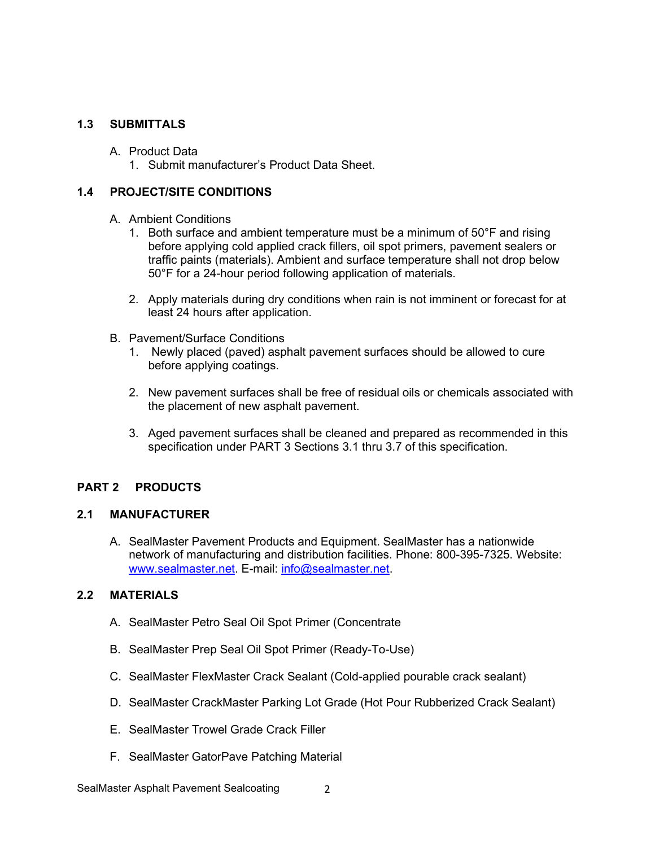### **1.3 SUBMITTALS**

- A. Product Data
	- 1. Submit manufacturer's Product Data Sheet.

#### **1.4 PROJECT/SITE CONDITIONS**

- A. Ambient Conditions
	- 1. Both surface and ambient temperature must be a minimum of 50°F and rising before applying cold applied crack fillers, oil spot primers, pavement sealers or traffic paints (materials). Ambient and surface temperature shall not drop below 50°F for a 24-hour period following application of materials.
	- 2. Apply materials during dry conditions when rain is not imminent or forecast for at least 24 hours after application.
- B. Pavement/Surface Conditions
	- 1. Newly placed (paved) asphalt pavement surfaces should be allowed to cure before applying coatings.
	- 2. New pavement surfaces shall be free of residual oils or chemicals associated with the placement of new asphalt pavement.
	- 3. Aged pavement surfaces shall be cleaned and prepared as recommended in this specification under PART 3 Sections 3.1 thru 3.7 of this specification.

## **PART 2 PRODUCTS**

#### **2.1 MANUFACTURER**

A. SealMaster Pavement Products and Equipment. SealMaster has a nationwide network of manufacturing and distribution facilities. Phone: 800-395-7325. Website: [www.sealmaster.net.](http://www.sealmaster.net/) E-mail: [info@sealmaster.net.](mailto:info@sealmaster.net)

#### **2.2 MATERIALS**

- A. SealMaster Petro Seal Oil Spot Primer (Concentrate
- B. SealMaster Prep Seal Oil Spot Primer (Ready-To-Use)
- C. SealMaster FlexMaster Crack Sealant (Cold-applied pourable crack sealant)
- D. SealMaster CrackMaster Parking Lot Grade (Hot Pour Rubberized Crack Sealant)
- E. SealMaster Trowel Grade Crack Filler
- F. SealMaster GatorPave Patching Material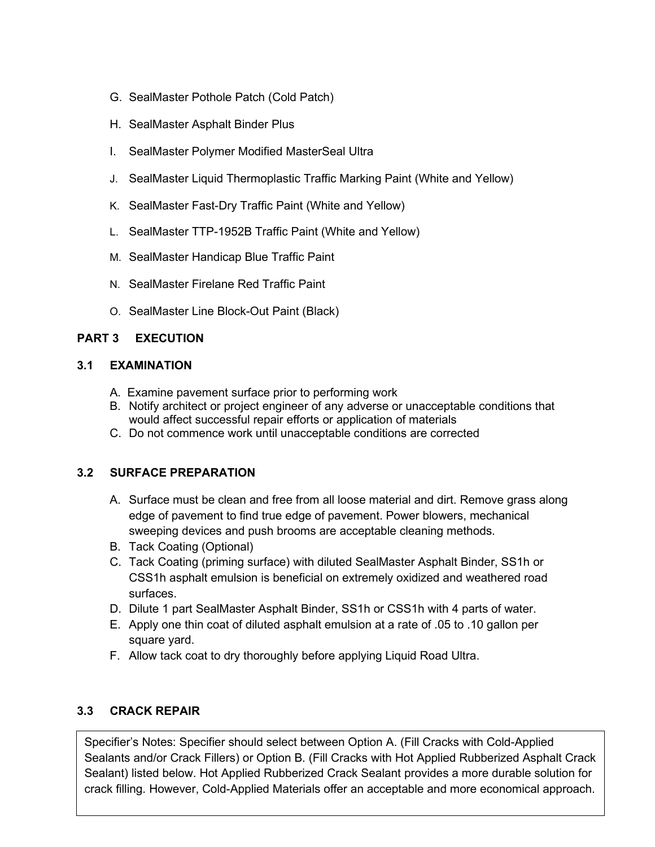- G. SealMaster Pothole Patch (Cold Patch)
- H. SealMaster Asphalt Binder Plus
- I. SealMaster Polymer Modified MasterSeal Ultra
- J. SealMaster Liquid Thermoplastic Traffic Marking Paint (White and Yellow)
- K. SealMaster Fast-Dry Traffic Paint (White and Yellow)
- L. SealMaster TTP-1952B Traffic Paint (White and Yellow)
- M. SealMaster Handicap Blue Traffic Paint
- N. SealMaster Firelane Red Traffic Paint
- O. SealMaster Line Block-Out Paint (Black)

## **PART 3 EXECUTION**

#### **3.1 EXAMINATION**

- A. Examine pavement surface prior to performing work
- B. Notify architect or project engineer of any adverse or unacceptable conditions that would affect successful repair efforts or application of materials
- C. Do not commence work until unacceptable conditions are corrected

#### **3.2 SURFACE PREPARATION**

- A. Surface must be clean and free from all loose material and dirt. Remove grass along edge of pavement to find true edge of pavement. Power blowers, mechanical sweeping devices and push brooms are acceptable cleaning methods.
- B. Tack Coating (Optional)
- C. Tack Coating (priming surface) with diluted SealMaster Asphalt Binder, SS1h or CSS1h asphalt emulsion is beneficial on extremely oxidized and weathered road surfaces.
- D. Dilute 1 part SealMaster Asphalt Binder, SS1h or CSS1h with 4 parts of water.
- E. Apply one thin coat of diluted asphalt emulsion at a rate of .05 to .10 gallon per square yard.
- F. Allow tack coat to dry thoroughly before applying Liquid Road Ultra.

## **3.3 CRACK REPAIR**

crack filling. However, Cold-Applied Materials offer an acceptable and more economical approach. Specifier's Notes: Specifier should select between Option A. (Fill Cracks with Cold-Applied Sealants and/or Crack Fillers) or Option B. (Fill Cracks with Hot Applied Rubberized Asphalt Crack Sealant) listed below. Hot Applied Rubberized Crack Sealant provides a more durable solution for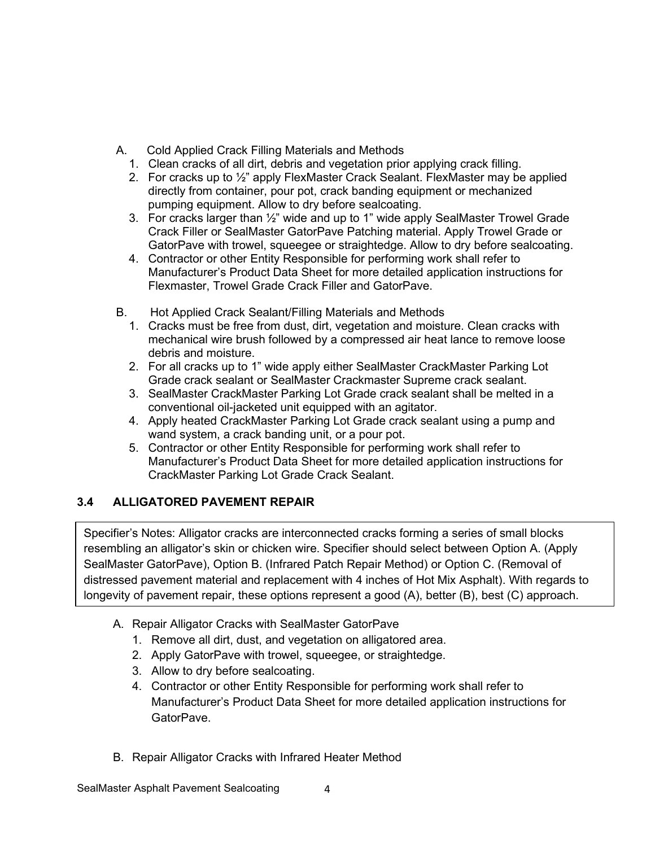- A. Cold Applied Crack Filling Materials and Methods
	- 1. Clean cracks of all dirt, debris and vegetation prior applying crack filling.
	- 2. For cracks up to ½" apply FlexMaster Crack Sealant. FlexMaster may be applied directly from container, pour pot, crack banding equipment or mechanized pumping equipment. Allow to dry before sealcoating.
	- 3. For cracks larger than ½" wide and up to 1" wide apply SealMaster Trowel Grade Crack Filler or SealMaster GatorPave Patching material. Apply Trowel Grade or GatorPave with trowel, squeegee or straightedge. Allow to dry before sealcoating.
	- 4. Contractor or other Entity Responsible for performing work shall refer to Manufacturer's Product Data Sheet for more detailed application instructions for Flexmaster, Trowel Grade Crack Filler and GatorPave.
- B. Hot Applied Crack Sealant/Filling Materials and Methods
	- 1. Cracks must be free from dust, dirt, vegetation and moisture. Clean cracks with mechanical wire brush followed by a compressed air heat lance to remove loose debris and moisture.
	- 2. For all cracks up to 1" wide apply either SealMaster CrackMaster Parking Lot Grade crack sealant or SealMaster Crackmaster Supreme crack sealant.
	- 3. SealMaster CrackMaster Parking Lot Grade crack sealant shall be melted in a conventional oil-jacketed unit equipped with an agitator.
	- 4. Apply heated CrackMaster Parking Lot Grade crack sealant using a pump and wand system, a crack banding unit, or a pour pot.
	- 5. Contractor or other Entity Responsible for performing work shall refer to Manufacturer's Product Data Sheet for more detailed application instructions for CrackMaster Parking Lot Grade Crack Sealant.

# **3.4 ALLIGATORED PAVEMENT REPAIR**

Specifier's Notes: Alligator cracks are interconnected cracks forming a series of small blocks resembling an alligator's skin or chicken wire. Specifier should select between Option A. (Apply SealMaster GatorPave), Option B. (Infrared Patch Repair Method) or Option C. (Removal of distressed pavement material and replacement with 4 inches of Hot Mix Asphalt). With regards to longevity of pavement repair, these options represent a good (A), better (B), best (C) approach.

- A. Repair Alligator Cracks with SealMaster GatorPave
	- 1. Remove all dirt, dust, and vegetation on alligatored area.
	- 2. Apply GatorPave with trowel, squeegee, or straightedge.
	- 3. Allow to dry before sealcoating.
	- 4. Contractor or other Entity Responsible for performing work shall refer to Manufacturer's Product Data Sheet for more detailed application instructions for GatorPave.
- B. Repair Alligator Cracks with Infrared Heater Method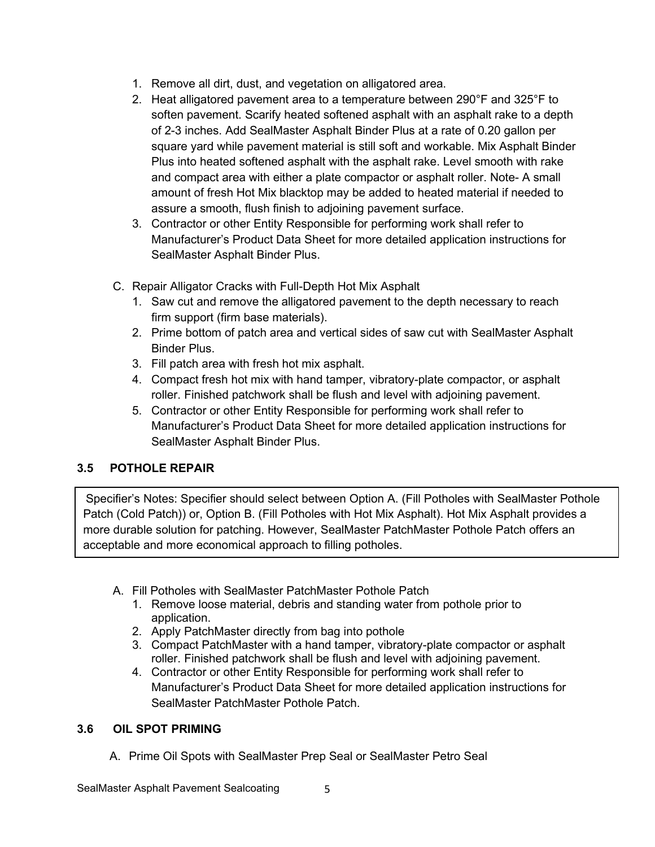- 1. Remove all dirt, dust, and vegetation on alligatored area.
- 2. Heat alligatored pavement area to a temperature between 290°F and 325°F to soften pavement. Scarify heated softened asphalt with an asphalt rake to a depth of 2-3 inches. Add SealMaster Asphalt Binder Plus at a rate of 0.20 gallon per square yard while pavement material is still soft and workable. Mix Asphalt Binder Plus into heated softened asphalt with the asphalt rake. Level smooth with rake and compact area with either a plate compactor or asphalt roller. Note- A small amount of fresh Hot Mix blacktop may be added to heated material if needed to assure a smooth, flush finish to adjoining pavement surface.
- 3. Contractor or other Entity Responsible for performing work shall refer to Manufacturer's Product Data Sheet for more detailed application instructions for SealMaster Asphalt Binder Plus.
- C. Repair Alligator Cracks with Full-Depth Hot Mix Asphalt
	- 1. Saw cut and remove the alligatored pavement to the depth necessary to reach firm support (firm base materials).
	- 2. Prime bottom of patch area and vertical sides of saw cut with SealMaster Asphalt Binder Plus.
	- 3. Fill patch area with fresh hot mix asphalt.
	- 4. Compact fresh hot mix with hand tamper, vibratory-plate compactor, or asphalt roller. Finished patchwork shall be flush and level with adjoining pavement.
	- 5. Contractor or other Entity Responsible for performing work shall refer to Manufacturer's Product Data Sheet for more detailed application instructions for SealMaster Asphalt Binder Plus.

# **3.5 POTHOLE REPAIR**

Specifier's Notes: Specifier should select between Option A. (Fill Potholes with SealMaster Pothole Patch (Cold Patch)) or, Option B. (Fill Potholes with Hot Mix Asphalt). Hot Mix Asphalt provides a more durable solution for patching. However, SealMaster PatchMaster Pothole Patch offers an acceptable and more economical approach to filling potholes.

- A. Fill Potholes with SealMaster PatchMaster Pothole Patch
	- 1. Remove loose material, debris and standing water from pothole prior to application.
	- 2. Apply PatchMaster directly from bag into pothole
	- 3. Compact PatchMaster with a hand tamper, vibratory-plate compactor or asphalt roller. Finished patchwork shall be flush and level with adjoining pavement.
	- 4. Contractor or other Entity Responsible for performing work shall refer to Manufacturer's Product Data Sheet for more detailed application instructions for SealMaster PatchMaster Pothole Patch.

## **3.6 OIL SPOT PRIMING**

A. Prime Oil Spots with SealMaster Prep Seal or SealMaster Petro Seal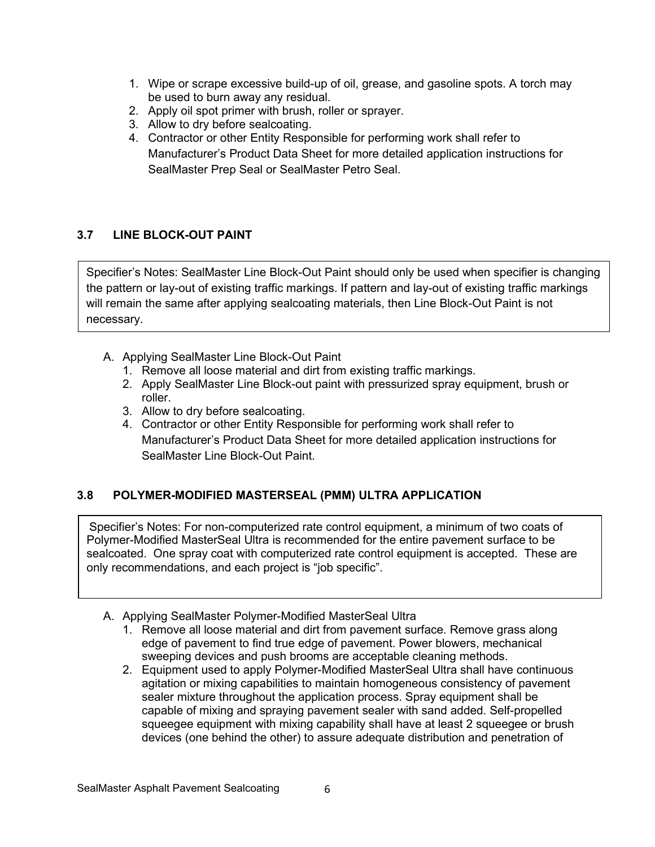- 1. Wipe or scrape excessive build-up of oil, grease, and gasoline spots. A torch may be used to burn away any residual.
- 2. Apply oil spot primer with brush, roller or sprayer.
- 3. Allow to dry before sealcoating.
- 4. Contractor or other Entity Responsible for performing work shall refer to Manufacturer's Product Data Sheet for more detailed application instructions for SealMaster Prep Seal or SealMaster Petro Seal.

## **3.7 LINE BLOCK-OUT PAINT**

Specifier's Notes: SealMaster Line Block-Out Paint should only be used when specifier is changing the pattern or lay-out of existing traffic markings. If pattern and lay-out of existing traffic markings will remain the same after applying sealcoating materials, then Line Block-Out Paint is not necessary.

- A. Applying SealMaster Line Block-Out Paint
	- 1. Remove all loose material and dirt from existing traffic markings.
	- 2. Apply SealMaster Line Block-out paint with pressurized spray equipment, brush or roller.
	- 3. Allow to dry before sealcoating.
	- 4. Contractor or other Entity Responsible for performing work shall refer to Manufacturer's Product Data Sheet for more detailed application instructions for SealMaster Line Block-Out Paint

## **3.8 POLYMER-MODIFIED MASTERSEAL (PMM) ULTRA APPLICATION**

Specifier's Notes: For non-computerized rate control equipment, a minimum of two coats of Polymer-Modified MasterSeal Ultra is recommended for the entire pavement surface to be sealcoated. One spray coat with computerized rate control equipment is accepted. These are only recommendations, and each project is "job specific".

- A. Applying SealMaster Polymer-Modified MasterSeal Ultra
	- 1. Remove all loose material and dirt from pavement surface. Remove grass along edge of pavement to find true edge of pavement. Power blowers, mechanical sweeping devices and push brooms are acceptable cleaning methods.
	- 2. Equipment used to apply Polymer-Modified MasterSeal Ultra shall have continuous agitation or mixing capabilities to maintain homogeneous consistency of pavement sealer mixture throughout the application process. Spray equipment shall be capable of mixing and spraying pavement sealer with sand added. Self-propelled squeegee equipment with mixing capability shall have at least 2 squeegee or brush devices (one behind the other) to assure adequate distribution and penetration of